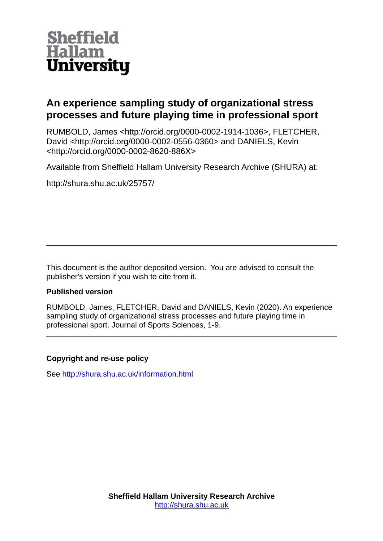

# **An experience sampling study of organizational stress processes and future playing time in professional sport**

RUMBOLD, James <http://orcid.org/0000-0002-1914-1036>, FLETCHER, David <http://orcid.org/0000-0002-0556-0360> and DANIELS, Kevin <http://orcid.org/0000-0002-8620-886X>

Available from Sheffield Hallam University Research Archive (SHURA) at:

http://shura.shu.ac.uk/25757/

This document is the author deposited version. You are advised to consult the publisher's version if you wish to cite from it.

## **Published version**

RUMBOLD, James, FLETCHER, David and DANIELS, Kevin (2020). An experience sampling study of organizational stress processes and future playing time in professional sport. Journal of Sports Sciences, 1-9.

# **Copyright and re-use policy**

See<http://shura.shu.ac.uk/information.html>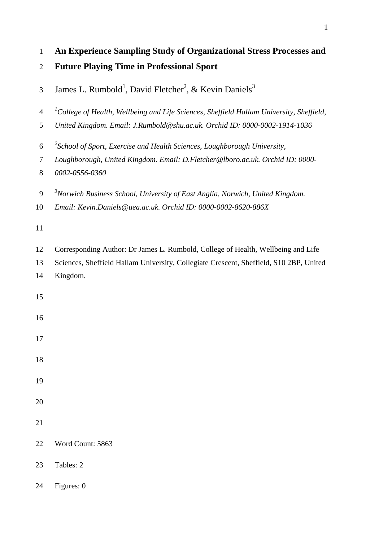| $\mathbf{1}$   | An Experience Sampling Study of Organizational Stress Processes and                              |
|----------------|--------------------------------------------------------------------------------------------------|
| $\mathfrak{2}$ | <b>Future Playing Time in Professional Sport</b>                                                 |
| 3              | James L. Rumbold <sup>1</sup> , David Fletcher <sup>2</sup> , & Kevin Daniels <sup>3</sup>       |
| $\overline{4}$ | ${}^{1}$ College of Health, Wellbeing and Life Sciences, Sheffield Hallam University, Sheffield, |
| 5              | United Kingdom. Email: J.Rumbold@shu.ac.uk. Orchid ID: 0000-0002-1914-1036                       |
| 6              | <sup>2</sup> School of Sport, Exercise and Health Sciences, Loughborough University,             |
| 7<br>8         | Loughborough, United Kingdom. Email: D.Fletcher@lboro.ac.uk. Orchid ID: 0000-<br>0002-0556-0360  |
| 9              | <sup>3</sup> Norwich Business School, University of East Anglia, Norwich, United Kingdom.        |
| 10             | Email: Kevin.Daniels@uea.ac.uk. Orchid ID: 0000-0002-8620-886X                                   |
| 11             |                                                                                                  |
| 12             | Corresponding Author: Dr James L. Rumbold, College of Health, Wellbeing and Life                 |
| 13             | Sciences, Sheffield Hallam University, Collegiate Crescent, Sheffield, S10 2BP, United           |
| 14             | Kingdom.                                                                                         |
| 15             |                                                                                                  |
| 16             |                                                                                                  |
| 17             |                                                                                                  |
| 18             |                                                                                                  |
| 19             |                                                                                                  |
| 20             |                                                                                                  |
| 21             |                                                                                                  |
| 22             | Word Count: 5863                                                                                 |
| 23             | Tables: 2                                                                                        |
| 24             | Figures: 0                                                                                       |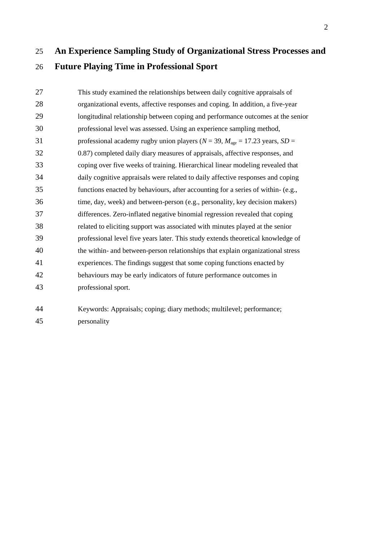# **An Experience Sampling Study of Organizational Stress Processes and Future Playing Time in Professional Sport**

 This study examined the relationships between daily cognitive appraisals of organizational events, affective responses and coping. In addition, a five-year longitudinal relationship between coping and performance outcomes at the senior professional level was assessed. Using an experience sampling method, 31 professional academy rugby union players ( $N = 39$ ,  $M_{\text{age}} = 17.23$  years,  $SD =$  0.87) completed daily diary measures of appraisals, affective responses, and coping over five weeks of training. Hierarchical linear modeling revealed that daily cognitive appraisals were related to daily affective responses and coping functions enacted by behaviours, after accounting for a series of within- (e.g., time, day, week) and between-person (e.g., personality, key decision makers) differences. Zero-inflated negative binomial regression revealed that coping related to eliciting support was associated with minutes played at the senior professional level five years later. This study extends theoretical knowledge of the within- and between-person relationships that explain organizational stress experiences. The findings suggest that some coping functions enacted by behaviours may be early indicators of future performance outcomes in professional sport.

 Keywords: Appraisals; coping; diary methods; multilevel; performance; personality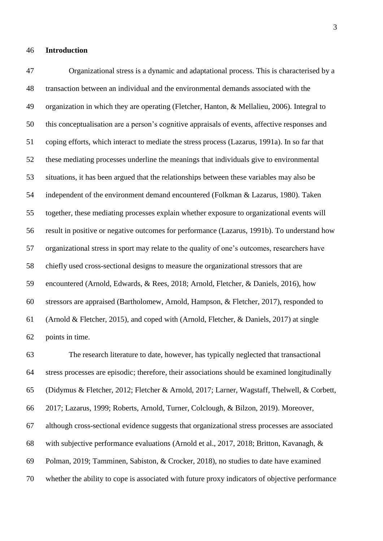#### **Introduction**

 Organizational stress is a dynamic and adaptational process. This is characterised by a transaction between an individual and the environmental demands associated with the organization in which they are operating (Fletcher, Hanton, & Mellalieu, 2006). Integral to this conceptualisation are a person's cognitive appraisals of events, affective responses and coping efforts, which interact to mediate the stress process (Lazarus, 1991a). In so far that these mediating processes underline the meanings that individuals give to environmental situations, it has been argued that the relationships between these variables may also be independent of the environment demand encountered (Folkman & Lazarus, 1980). Taken together, these mediating processes explain whether exposure to organizational events will result in positive or negative outcomes for performance (Lazarus, 1991b). To understand how organizational stress in sport may relate to the quality of one's outcomes, researchers have chiefly used cross-sectional designs to measure the organizational stressors that are encountered (Arnold, Edwards, & Rees, 2018; Arnold, Fletcher, & Daniels, 2016), how stressors are appraised (Bartholomew, Arnold, Hampson, & Fletcher, 2017), responded to (Arnold & Fletcher, 2015), and coped with (Arnold, Fletcher, & Daniels, 2017) at single points in time.

 The research literature to date, however, has typically neglected that transactional stress processes are episodic; therefore, their associations should be examined longitudinally (Didymus & Fletcher, 2012; Fletcher & Arnold, 2017; Larner, Wagstaff, Thelwell, & Corbett, 2017; Lazarus, 1999; Roberts, Arnold, Turner, Colclough, & Bilzon, 2019). Moreover, although cross-sectional evidence suggests that organizational stress processes are associated with subjective performance evaluations (Arnold et al., 2017, 2018; Britton, Kavanagh, & Polman, 2019; Tamminen, Sabiston, & Crocker, 2018), no studies to date have examined whether the ability to cope is associated with future proxy indicators of objective performance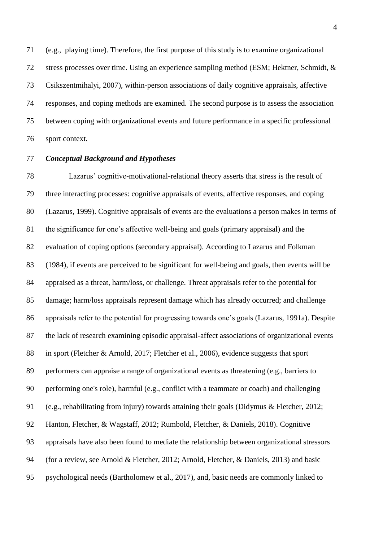(e.g., playing time). Therefore, the first purpose of this study is to examine organizational stress processes over time. Using an experience sampling method (ESM; Hektner, Schmidt, & Csikszentmihalyi, 2007), within-person associations of daily cognitive appraisals, affective responses, and coping methods are examined. The second purpose is to assess the association between coping with organizational events and future performance in a specific professional sport context.

## *Conceptual Background and Hypotheses*

 Lazarus' cognitive-motivational-relational theory asserts that stress is the result of three interacting processes: cognitive appraisals of events, affective responses, and coping (Lazarus, 1999). Cognitive appraisals of events are the evaluations a person makes in terms of the significance for one's affective well-being and goals (primary appraisal) and the evaluation of coping options (secondary appraisal). According to Lazarus and Folkman (1984), if events are perceived to be significant for well-being and goals, then events will be appraised as a threat, harm/loss, or challenge. Threat appraisals refer to the potential for damage; harm/loss appraisals represent damage which has already occurred; and challenge appraisals refer to the potential for progressing towards one's goals (Lazarus, 1991a). Despite the lack of research examining episodic appraisal-affect associations of organizational events in sport (Fletcher & Arnold, 2017; Fletcher et al., 2006), evidence suggests that sport performers can appraise a range of organizational events as threatening (e.g., barriers to performing one's role), harmful (e.g., conflict with a teammate or coach) and challenging (e.g., rehabilitating from injury) towards attaining their goals (Didymus & Fletcher, 2012; Hanton, Fletcher, & Wagstaff, 2012; Rumbold, Fletcher, & Daniels, 2018). Cognitive appraisals have also been found to mediate the relationship between organizational stressors (for a review, see Arnold & Fletcher, 2012; Arnold, Fletcher, & Daniels, 2013) and basic psychological needs (Bartholomew et al., 2017), and, basic needs are commonly linked to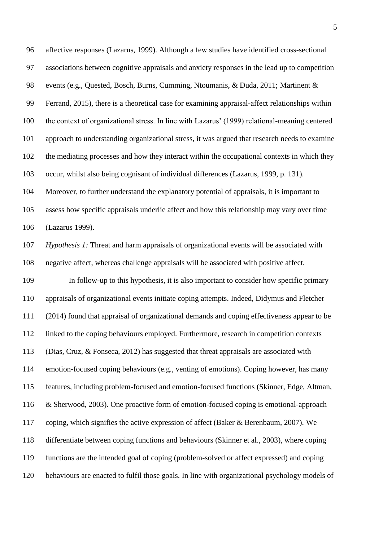affective responses (Lazarus, 1999). Although a few studies have identified cross-sectional associations between cognitive appraisals and anxiety responses in the lead up to competition events (e.g., Quested, Bosch, Burns, Cumming, Ntoumanis, & Duda, 2011; Martinent & Ferrand, 2015), there is a theoretical case for examining appraisal-affect relationships within the context of organizational stress. In line with Lazarus' (1999) relational-meaning centered approach to understanding organizational stress, it was argued that research needs to examine the mediating processes and how they interact within the occupational contexts in which they occur, whilst also being cognisant of individual differences (Lazarus, 1999, p. 131). Moreover, to further understand the explanatory potential of appraisals, it is important to assess how specific appraisals underlie affect and how this relationship may vary over time

(Lazarus 1999).

 *Hypothesis 1:* Threat and harm appraisals of organizational events will be associated with negative affect, whereas challenge appraisals will be associated with positive affect.

 In follow-up to this hypothesis, it is also important to consider how specific primary appraisals of organizational events initiate coping attempts. Indeed, Didymus and Fletcher (2014) found that appraisal of organizational demands and coping effectiveness appear to be linked to the coping behaviours employed. Furthermore, research in competition contexts (Dias, Cruz, & Fonseca, 2012) has suggested that threat appraisals are associated with emotion-focused coping behaviours (e.g., venting of emotions). Coping however, has many features, including problem-focused and emotion-focused functions (Skinner, Edge, Altman, & Sherwood, 2003). One proactive form of emotion-focused coping is emotional-approach coping, which signifies the active expression of affect (Baker & Berenbaum, 2007). We differentiate between coping functions and behaviours (Skinner et al., 2003), where coping functions are the intended goal of coping (problem-solved or affect expressed) and coping behaviours are enacted to fulfil those goals. In line with organizational psychology models of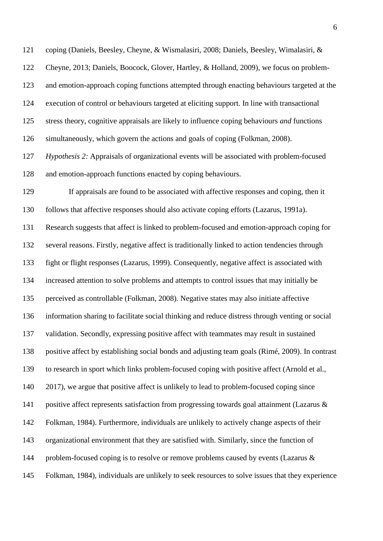coping (Daniels, Beesley, Cheyne, & Wismalasiri, 2008; Daniels, Beesley, Wimalasiri, & Cheyne, 2013; Daniels, Boocock, Glover, Hartley, & Holland, 2009), we focus on problem- and emotion-approach coping functions attempted through enacting behaviours targeted at the execution of control or behaviours targeted at eliciting support. In line with transactional stress theory, cognitive appraisals are likely to influence coping behaviours *and* functions simultaneously, which govern the actions and goals of coping (Folkman, 2008).

 *Hypothesis 2:* Appraisals of organizational events will be associated with problem-focused and emotion-approach functions enacted by coping behaviours.

 If appraisals are found to be associated with affective responses and coping, then it follows that affective responses should also activate coping efforts (Lazarus, 1991a). Research suggests that affect is linked to problem-focused and emotion-approach coping for several reasons. Firstly, negative affect is traditionally linked to action tendencies through fight or flight responses (Lazarus, 1999). Consequently, negative affect is associated with increased attention to solve problems and attempts to control issues that may initially be perceived as controllable (Folkman, 2008). Negative states may also initiate affective information sharing to facilitate social thinking and reduce distress through venting or social validation. Secondly, expressing positive affect with teammates may result in sustained positive affect by establishing social bonds and adjusting team goals (Rimé, 2009). In contrast to research in sport which links problem-focused coping with positive affect (Arnold et al., 140 2017), we argue that positive affect is unlikely to lead to problem-focused coping since 141 positive affect represents satisfaction from progressing towards goal attainment (Lazarus & Folkman, 1984). Furthermore, individuals are unlikely to actively change aspects of their organizational environment that they are satisfied with. Similarly, since the function of 144 problem-focused coping is to resolve or remove problems caused by events (Lazarus  $\&$ Folkman, 1984), individuals are unlikely to seek resources to solve issues that they experience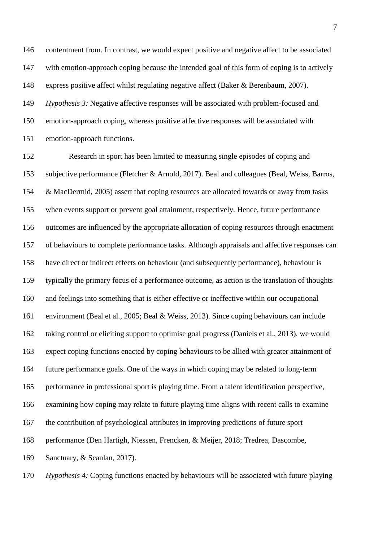contentment from. In contrast, we would expect positive and negative affect to be associated with emotion-approach coping because the intended goal of this form of coping is to actively express positive affect whilst regulating negative affect (Baker & Berenbaum, 2007). *Hypothesis 3:* Negative affective responses will be associated with problem-focused and emotion-approach coping, whereas positive affective responses will be associated with emotion-approach functions.

 Research in sport has been limited to measuring single episodes of coping and subjective performance (Fletcher & Arnold, 2017). Beal and colleagues (Beal, Weiss, Barros, & MacDermid, 2005) assert that coping resources are allocated towards or away from tasks when events support or prevent goal attainment, respectively. Hence, future performance outcomes are influenced by the appropriate allocation of coping resources through enactment of behaviours to complete performance tasks. Although appraisals and affective responses can have direct or indirect effects on behaviour (and subsequently performance), behaviour is typically the primary focus of a performance outcome, as action is the translation of thoughts and feelings into something that is either effective or ineffective within our occupational environment (Beal et al., 2005; Beal & Weiss, 2013). Since coping behaviours can include taking control or eliciting support to optimise goal progress (Daniels et al., 2013), we would expect coping functions enacted by coping behaviours to be allied with greater attainment of future performance goals. One of the ways in which coping may be related to long-term performance in professional sport is playing time. From a talent identification perspective, examining how coping may relate to future playing time aligns with recent calls to examine the contribution of psychological attributes in improving predictions of future sport performance (Den Hartigh, Niessen, Frencken, & Meijer, 2018; Tredrea, Dascombe, Sanctuary, & Scanlan, 2017).

*Hypothesis 4:* Coping functions enacted by behaviours will be associated with future playing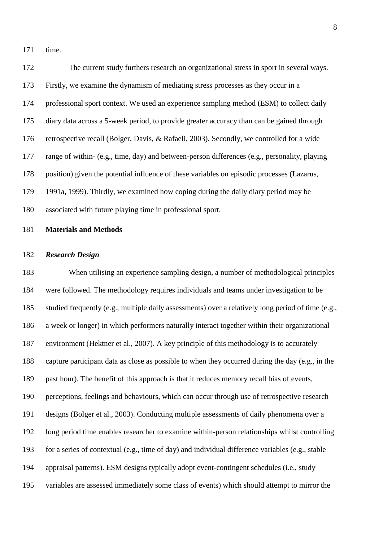time.

 The current study furthers research on organizational stress in sport in several ways. Firstly, we examine the dynamism of mediating stress processes as they occur in a professional sport context. We used an experience sampling method (ESM) to collect daily diary data across a 5-week period, to provide greater accuracy than can be gained through retrospective recall (Bolger, Davis, & Rafaeli, 2003). Secondly, we controlled for a wide range of within- (e.g., time, day) and between-person differences (e.g., personality, playing position) given the potential influence of these variables on episodic processes (Lazarus, 1991a, 1999). Thirdly, we examined how coping during the daily diary period may be associated with future playing time in professional sport.

### **Materials and Methods**

#### *Research Design*

 When utilising an experience sampling design, a number of methodological principles were followed. The methodology requires individuals and teams under investigation to be studied frequently (e.g., multiple daily assessments) over a relatively long period of time (e.g., a week or longer) in which performers naturally interact together within their organizational environment (Hektner et al., 2007). A key principle of this methodology is to accurately capture participant data as close as possible to when they occurred during the day (e.g., in the past hour). The benefit of this approach is that it reduces memory recall bias of events, perceptions, feelings and behaviours, which can occur through use of retrospective research designs (Bolger et al., 2003). Conducting multiple assessments of daily phenomena over a long period time enables researcher to examine within-person relationships whilst controlling for a series of contextual (e.g., time of day) and individual difference variables (e.g., stable appraisal patterns). ESM designs typically adopt event-contingent schedules (i.e., study variables are assessed immediately some class of events) which should attempt to mirror the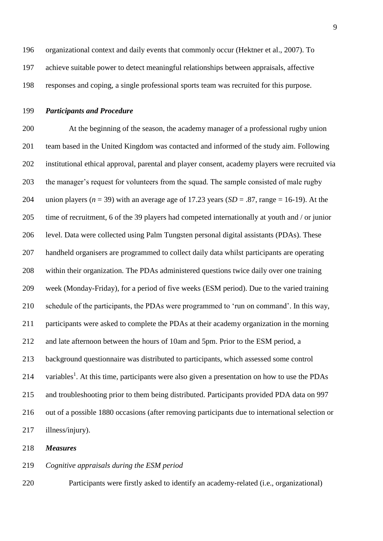organizational context and daily events that commonly occur (Hektner et al., 2007). To achieve suitable power to detect meaningful relationships between appraisals, affective responses and coping, a single professional sports team was recruited for this purpose.

## *Participants and Procedure*

 At the beginning of the season, the academy manager of a professional rugby union team based in the United Kingdom was contacted and informed of the study aim. Following institutional ethical approval, parental and player consent, academy players were recruited via the manager's request for volunteers from the squad. The sample consisted of male rugby 204 union players ( $n = 39$ ) with an average age of 17.23 years ( $SD = .87$ , range = 16-19). At the time of recruitment, 6 of the 39 players had competed internationally at youth and / or junior level. Data were collected using Palm Tungsten personal digital assistants (PDAs). These handheld organisers are programmed to collect daily data whilst participants are operating within their organization. The PDAs administered questions twice daily over one training week (Monday-Friday), for a period of five weeks (ESM period). Due to the varied training schedule of the participants, the PDAs were programmed to 'run on command'. In this way, participants were asked to complete the PDAs at their academy organization in the morning and late afternoon between the hours of 10am and 5pm. Prior to the ESM period, a background questionnaire was distributed to participants, which assessed some control 214 variables<sup>1</sup>. At this time, participants were also given a presentation on how to use the PDAs and troubleshooting prior to them being distributed. Participants provided PDA data on 997 out of a possible 1880 occasions (after removing participants due to international selection or illness/injury).

*Measures*

### *Cognitive appraisals during the ESM period*

Participants were firstly asked to identify an academy-related (i.e., organizational)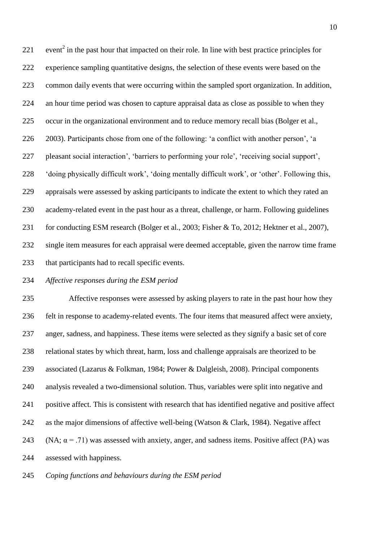221 event<sup>2</sup> in the past hour that impacted on their role. In line with best practice principles for experience sampling quantitative designs, the selection of these events were based on the common daily events that were occurring within the sampled sport organization. In addition, an hour time period was chosen to capture appraisal data as close as possible to when they occur in the organizational environment and to reduce memory recall bias (Bolger et al., 2003). Participants chose from one of the following: 'a conflict with another person', 'a pleasant social interaction', 'barriers to performing your role', 'receiving social support', 'doing physically difficult work', 'doing mentally difficult work', or 'other'. Following this, appraisals were assessed by asking participants to indicate the extent to which they rated an academy-related event in the past hour as a threat, challenge, or harm. Following guidelines 231 for conducting ESM research (Bolger et al., 2003; Fisher & To, 2012; Hektner et al., 2007), single item measures for each appraisal were deemed acceptable, given the narrow time frame that participants had to recall specific events.

## *Affective responses during the ESM period*

 Affective responses were assessed by asking players to rate in the past hour how they felt in response to academy-related events. The four items that measured affect were anxiety, anger, sadness, and happiness. These items were selected as they signify a basic set of core relational states by which threat, harm, loss and challenge appraisals are theorized to be associated (Lazarus & Folkman, 1984; Power & Dalgleish, 2008). Principal components analysis revealed a two**-**dimensional solution. Thus, variables were split into negative and positive affect. This is consistent with research that has identified negative and positive affect as the major dimensions of affective well-being (Watson & Clark, 1984). Negative affect 243 (NA;  $\alpha$  = .71) was assessed with anxiety, anger, and sadness items. Positive affect (PA) was assessed with happiness.

*Coping functions and behaviours during the ESM period*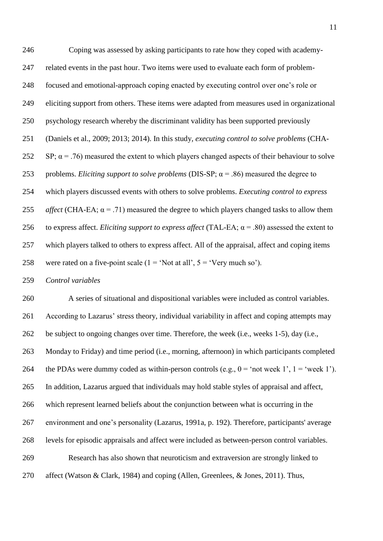Coping was assessed by asking participants to rate how they coped with academy- related events in the past hour. Two items were used to evaluate each form of problem- focused and emotional-approach coping enacted by executing control over one's role or eliciting support from others. These items were adapted from measures used in organizational psychology research whereby the discriminant validity has been supported previously (Daniels et al., 2009; 2013; 2014). In this study, *executing control to solve problems* (CHA-252 SP;  $\alpha$  = .76) measured the extent to which players changed aspects of their behaviour to solve problems. *Eliciting support to solve problems* (DIS-SP; α = .86) measured the degree to which players discussed events with others to solve problems. *Executing control to express affect* (CHA-EA;  $\alpha$  = .71) measured the degree to which players changed tasks to allow them to express affect. *Eliciting support to express affect* (TAL-EA; α = .80) assessed the extent to which players talked to others to express affect. All of the appraisal, affect and coping items 258 were rated on a five-point scale  $(1 = 'Not at all', 5 = 'Very much so').$ 

*Control variables*

 A series of situational and dispositional variables were included as control variables. According to Lazarus' stress theory, individual variability in affect and coping attempts may be subject to ongoing changes over time. Therefore, the week (i.e., weeks 1-5), day (i.e., Monday to Friday) and time period (i.e., morning, afternoon) in which participants completed 264 the PDAs were dummy coded as within-person controls (e.g.,  $0 = \text{`not week 1'}, 1 = \text{`week 1'}$ ). In addition, Lazarus argued that individuals may hold stable styles of appraisal and affect, which represent learned beliefs about the conjunction between what is occurring in the environment and one's personality (Lazarus, 1991a, p. 192). Therefore, participants' average levels for episodic appraisals and affect were included as between-person control variables. Research has also shown that neuroticism and extraversion are strongly linked to affect (Watson & Clark, 1984) and coping (Allen, Greenlees, & Jones, 2011). Thus,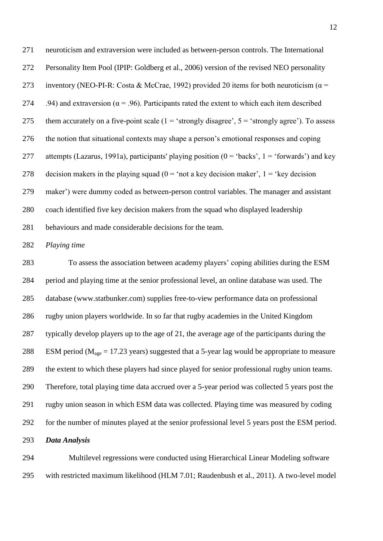neuroticism and extraversion were included as between-person controls. The International Personality Item Pool (IPIP: Goldberg et al., 2006) version of the revised NEO personality 273 inventory (NEO-PI-R: Costa & McCrae, 1992) provided 20 items for both neuroticism ( $\alpha$  = 274 .94) and extraversion ( $\alpha$  = .96). Participants rated the extent to which each item described 275 them accurately on a five-point scale  $(1 - \text{^\circ strongly disagree\degree}, 5 - \text{^\circ strongly agree\degree}).$  To assess the notion that situational contexts may shape a person's emotional responses and coping 277 attempts (Lazarus, 1991a), participants' playing position ( $0 = 'backs', 1 = 'forward's')$  and key 278 decision makers in the playing squad  $(0 = 'not a key decision maker', 1 = 'key decision)$  maker') were dummy coded as between-person control variables. The manager and assistant coach identified five key decision makers from the squad who displayed leadership behaviours and made considerable decisions for the team.

#### *Playing time*

 To assess the association between academy players' coping abilities during the ESM period and playing time at the senior professional level, an online database was used. The database (www.statbunker.com) supplies free-to-view performance data on professional rugby union players worldwide. In so far that rugby academies in the United Kingdom typically develop players up to the age of 21, the average age of the participants during the 288 ESM period ( $M_{\text{age}} = 17.23$  years) suggested that a 5-year lag would be appropriate to measure the extent to which these players had since played for senior professional rugby union teams. Therefore, total playing time data accrued over a 5-year period was collected 5 years post the rugby union season in which ESM data was collected. Playing time was measured by coding for the number of minutes played at the senior professional level 5 years post the ESM period. *Data Analysis*

 Multilevel regressions were conducted using Hierarchical Linear Modeling software with restricted maximum likelihood (HLM 7.01; Raudenbush et al., 2011). A two-level model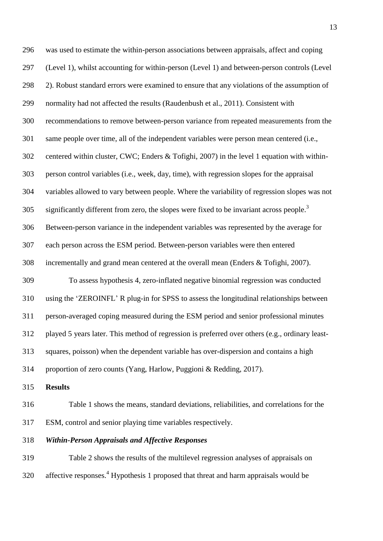was used to estimate the within-person associations between appraisals, affect and coping (Level 1), whilst accounting for within-person (Level 1) and between-person controls (Level 2). Robust standard errors were examined to ensure that any violations of the assumption of normality had not affected the results (Raudenbush et al., 2011). Consistent with recommendations to remove between-person variance from repeated measurements from the same people over time, all of the independent variables were person mean centered (i.e., centered within cluster, CWC; Enders & Tofighi, 2007) in the level 1 equation with within- person control variables (i.e., week, day, time), with regression slopes for the appraisal variables allowed to vary between people. Where the variability of regression slopes was not significantly different from zero, the slopes were fixed to be invariant across people.<sup>3</sup> Between-person variance in the independent variables was represented by the average for each person across the ESM period. Between-person variables were then entered incrementally and grand mean centered at the overall mean (Enders & Tofighi, 2007). To assess hypothesis 4, zero-inflated negative binomial regression was conducted using the 'ZEROINFL' R plug-in for SPSS to assess the longitudinal relationships between person-averaged coping measured during the ESM period and senior professional minutes played 5 years later. This method of regression is preferred over others (e.g., ordinary least- squares, poisson) when the dependent variable has over-dispersion and contains a high proportion of zero counts (Yang, Harlow, Puggioni & Redding, 2017).

**Results**

 Table 1 shows the means, standard deviations, reliabilities, and correlations for the ESM, control and senior playing time variables respectively.

## *Within-Person Appraisals and Affective Responses*

 Table 2 shows the results of the multilevel regression analyses of appraisals on 320 affective responses.<sup>4</sup> Hypothesis 1 proposed that threat and harm appraisals would be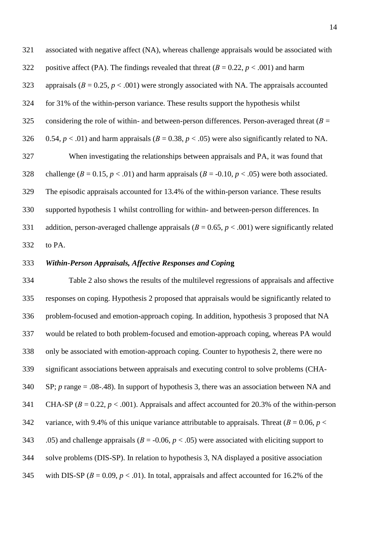associated with negative affect (NA), whereas challenge appraisals would be associated with 322 positive affect (PA). The findings revealed that threat  $(B = 0.22, p < .001)$  and harm 323 appraisals  $(B = 0.25, p < .001)$  were strongly associated with NA. The appraisals accounted for 31% of the within-person variance. These results support the hypothesis whilst considering the role of within- and between-person differences. Person-averaged threat (*В* = 326 0.54,  $p < .01$ ) and harm appraisals ( $B = 0.38$ ,  $p < .05$ ) were also significantly related to NA. When investigating the relationships between appraisals and PA, it was found that 328 challenge ( $B = 0.15$ ,  $p < .01$ ) and harm appraisals ( $B = -0.10$ ,  $p < .05$ ) were both associated. The episodic appraisals accounted for 13.4% of the within-person variance. These results supported hypothesis 1 whilst controlling for within- and between-person differences. In 331 addition, person-averaged challenge appraisals ( $B = 0.65$ ,  $p < .001$ ) were significantly related to PA.

### *Within-Person Appraisals, Affective Responses and Copin***g**

 Table 2 also shows the results of the multilevel regressions of appraisals and affective responses on coping. Hypothesis 2 proposed that appraisals would be significantly related to problem-focused and emotion-approach coping. In addition, hypothesis 3 proposed that NA would be related to both problem-focused and emotion-approach coping, whereas PA would only be associated with emotion-approach coping. Counter to hypothesis 2, there were no significant associations between appraisals and executing control to solve problems (CHA- SP; *p* range = .08-.48). In support of hypothesis 3, there was an association between NA and 341 CHA-SP  $(B = 0.22, p < .001)$ . Appraisals and affect accounted for 20.3% of the within-person 342 variance, with 9.4% of this unique variance attributable to appraisals. Threat  $(B = 0.06, p <$ 343 .05) and challenge appraisals ( $B = -0.06$ ,  $p < .05$ ) were associated with eliciting support to solve problems (DIS-SP). In relation to hypothesis 3, NA displayed a positive association 345 with DIS-SP  $(B = 0.09, p < .01)$ . In total, appraisals and affect accounted for 16.2% of the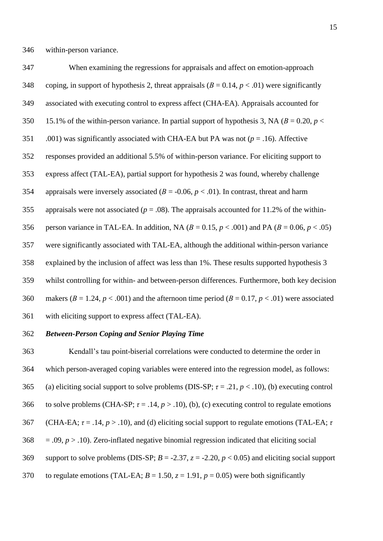When examining the regressions for appraisals and affect on emotion-approach 348 coping, in support of hypothesis 2, threat appraisals  $(B = 0.14, p < .01)$  were significantly associated with executing control to express affect (CHA-EA). Appraisals accounted for 350 15.1% of the within-person variance. In partial support of hypothesis 3, NA ( $B = 0.20$ ,  $p <$  .001) was significantly associated with CHA-EA but PA was not (*p* = .16). Affective responses provided an additional 5.5% of within-person variance. For eliciting support to express affect (TAL-EA), partial support for hypothesis 2 was found, whereby challenge appraisals were inversely associated (*В* = -0.06, *p* < .01). In contrast, threat and harm 355 appraisals were not associated ( $p = .08$ ). The appraisals accounted for 11.2% of the within-356 person variance in TAL-EA. In addition, NA  $(B = 0.15, p < .001)$  and PA  $(B = 0.06, p < .05)$  were significantly associated with TAL-EA, although the additional within-person variance explained by the inclusion of affect was less than 1%. These results supported hypothesis 3 whilst controlling for within- and between-person differences. Furthermore, both key decision 360 makers ( $B = 1.24$ ,  $p < .001$ ) and the afternoon time period ( $B = 0.17$ ,  $p < .01$ ) were associated with eliciting support to express affect (TAL-EA).

## *Between-Person Coping and Senior Playing Time*

 Kendall's tau point-biserial correlations were conducted to determine the order in which person-averaged coping variables were entered into the regression model, as follows: 365 (a) eliciting social support to solve problems (DIS-SP;  $\tau = .21$ ,  $p < .10$ ), (b) executing control 366 to solve problems (CHA-SP;  $\tau = .14$ ,  $p > .10$ ), (b), (c) executing control to regulate emotions (CHA-EA; *τ* = .14, *p* > .10), and (d) eliciting social support to regulate emotions (TAL-EA; *τ*   $368 = .09, p > .10$ ). Zero-inflated negative binomial regression indicated that eliciting social 369 support to solve problems (DIS-SP;  $B = -2.37$ ,  $z = -2.20$ ,  $p < 0.05$ ) and eliciting social support 370 to regulate emotions (TAL-EA;  $B = 1.50$ ,  $z = 1.91$ ,  $p = 0.05$ ) were both significantly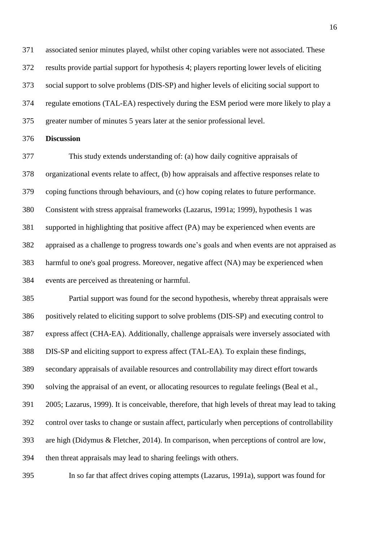associated senior minutes played, whilst other coping variables were not associated. These results provide partial support for hypothesis 4; players reporting lower levels of eliciting social support to solve problems (DIS-SP) and higher levels of eliciting social support to regulate emotions (TAL-EA) respectively during the ESM period were more likely to play a greater number of minutes 5 years later at the senior professional level.

## **Discussion**

 This study extends understanding of: (a) how daily cognitive appraisals of organizational events relate to affect, (b) how appraisals and affective responses relate to coping functions through behaviours, and (c) how coping relates to future performance. Consistent with stress appraisal frameworks (Lazarus, 1991a; 1999), hypothesis 1 was supported in highlighting that positive affect (PA) may be experienced when events are appraised as a challenge to progress towards one's goals and when events are not appraised as harmful to one's goal progress. Moreover, negative affect (NA) may be experienced when events are perceived as threatening or harmful.

 Partial support was found for the second hypothesis, whereby threat appraisals were positively related to eliciting support to solve problems (DIS-SP) and executing control to express affect (CHA-EA). Additionally, challenge appraisals were inversely associated with DIS-SP and eliciting support to express affect (TAL-EA). To explain these findings, secondary appraisals of available resources and controllability may direct effort towards solving the appraisal of an event, or allocating resources to regulate feelings (Beal et al., 2005; Lazarus, 1999). It is conceivable, therefore, that high levels of threat may lead to taking control over tasks to change or sustain affect, particularly when perceptions of controllability are high (Didymus & Fletcher, 2014). In comparison, when perceptions of control are low, then threat appraisals may lead to sharing feelings with others.

In so far that affect drives coping attempts (Lazarus, 1991a), support was found for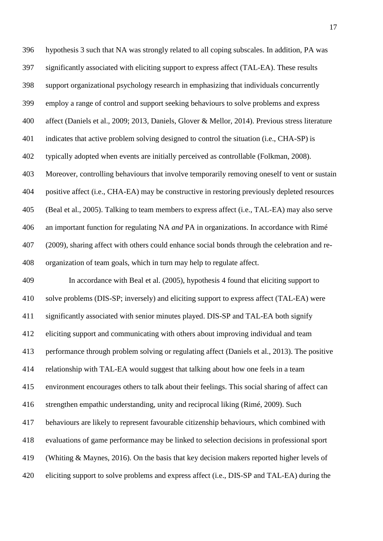significantly associated with eliciting support to express affect (TAL-EA). These results support organizational psychology research in emphasizing that individuals concurrently employ a range of control and support seeking behaviours to solve problems and express affect (Daniels et al., 2009; 2013, Daniels, Glover & Mellor, 2014). Previous stress literature indicates that active problem solving designed to control the situation (i.e., CHA-SP) is typically adopted when events are initially perceived as controllable (Folkman, 2008). Moreover, controlling behaviours that involve temporarily removing oneself to vent or sustain positive affect (i.e., CHA-EA) may be constructive in restoring previously depleted resources (Beal et al., 2005). Talking to team members to express affect (i.e., TAL-EA) may also serve an important function for regulating NA *and* PA in organizations. In accordance with Rimé (2009), sharing affect with others could enhance social bonds through the celebration and re-organization of team goals, which in turn may help to regulate affect.

hypothesis 3 such that NA was strongly related to all coping subscales. In addition, PA was

 In accordance with Beal et al. (2005), hypothesis 4 found that eliciting support to solve problems (DIS-SP; inversely) and eliciting support to express affect (TAL-EA) were significantly associated with senior minutes played. DIS-SP and TAL-EA both signify eliciting support and communicating with others about improving individual and team performance through problem solving or regulating affect (Daniels et al., 2013). The positive relationship with TAL-EA would suggest that talking about how one feels in a team environment encourages others to talk about their feelings. This social sharing of affect can strengthen empathic understanding, unity and reciprocal liking (Rimé, 2009). Such behaviours are likely to represent favourable citizenship behaviours, which combined with evaluations of game performance may be linked to selection decisions in professional sport (Whiting & Maynes, 2016). On the basis that key decision makers reported higher levels of eliciting support to solve problems and express affect (i.e., DIS-SP and TAL-EA) during the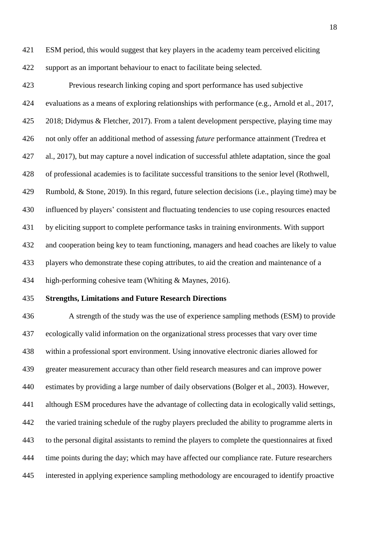ESM period, this would suggest that key players in the academy team perceived eliciting support as an important behaviour to enact to facilitate being selected.

 Previous research linking coping and sport performance has used subjective evaluations as a means of exploring relationships with performance (e.g., Arnold et al., 2017, 2018; Didymus & Fletcher, 2017). From a talent development perspective, playing time may not only offer an additional method of assessing *future* performance attainment (Tredrea et al., 2017), but may capture a novel indication of successful athlete adaptation, since the goal of professional academies is to facilitate successful transitions to the senior level (Rothwell, Rumbold, & Stone, 2019). In this regard, future selection decisions (i.e., playing time) may be influenced by players' consistent and fluctuating tendencies to use coping resources enacted by eliciting support to complete performance tasks in training environments. With support and cooperation being key to team functioning, managers and head coaches are likely to value players who demonstrate these coping attributes, to aid the creation and maintenance of a high-performing cohesive team (Whiting & Maynes, 2016).

## **Strengths, Limitations and Future Research Directions**

 A strength of the study was the use of experience sampling methods (ESM) to provide ecologically valid information on the organizational stress processes that vary over time within a professional sport environment. Using innovative electronic diaries allowed for greater measurement accuracy than other field research measures and can improve power estimates by providing a large number of daily observations (Bolger et al., 2003). However, although ESM procedures have the advantage of collecting data in ecologically valid settings, the varied training schedule of the rugby players precluded the ability to programme alerts in to the personal digital assistants to remind the players to complete the questionnaires at fixed time points during the day; which may have affected our compliance rate. Future researchers interested in applying experience sampling methodology are encouraged to identify proactive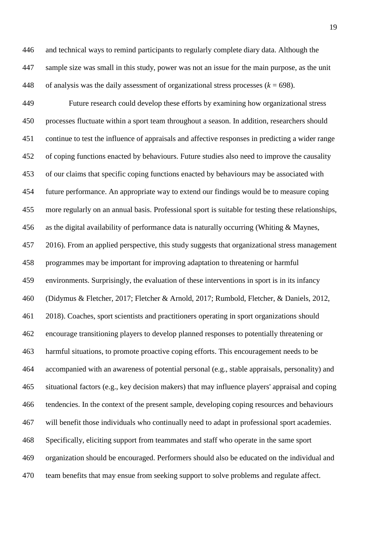and technical ways to remind participants to regularly complete diary data. Although the sample size was small in this study, power was not an issue for the main purpose, as the unit 448 of analysis was the daily assessment of organizational stress processes  $(k = 698)$ .

 Future research could develop these efforts by examining how organizational stress processes fluctuate within a sport team throughout a season. In addition, researchers should continue to test the influence of appraisals and affective responses in predicting a wider range of coping functions enacted by behaviours. Future studies also need to improve the causality of our claims that specific coping functions enacted by behaviours may be associated with future performance. An appropriate way to extend our findings would be to measure coping more regularly on an annual basis. Professional sport is suitable for testing these relationships, as the digital availability of performance data is naturally occurring (Whiting & Maynes, 2016). From an applied perspective, this study suggests that organizational stress management programmes may be important for improving adaptation to threatening or harmful environments. Surprisingly, the evaluation of these interventions in sport is in its infancy (Didymus & Fletcher, 2017; Fletcher & Arnold, 2017; Rumbold, Fletcher, & Daniels, 2012, 2018). Coaches, sport scientists and practitioners operating in sport organizations should encourage transitioning players to develop planned responses to potentially threatening or harmful situations, to promote proactive coping efforts. This encouragement needs to be accompanied with an awareness of potential personal (e.g., stable appraisals, personality) and situational factors (e.g., key decision makers) that may influence players' appraisal and coping tendencies. In the context of the present sample, developing coping resources and behaviours will benefit those individuals who continually need to adapt in professional sport academies. Specifically, eliciting support from teammates and staff who operate in the same sport organization should be encouraged. Performers should also be educated on the individual and team benefits that may ensue from seeking support to solve problems and regulate affect.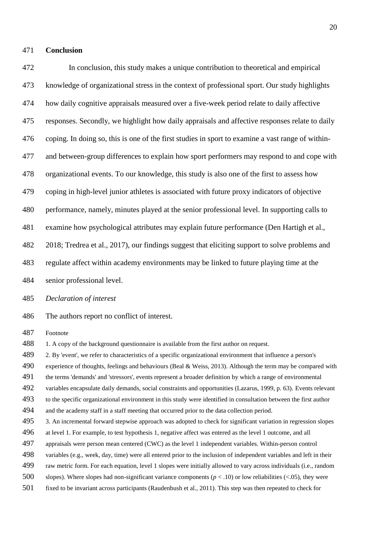### **Conclusion**

 In conclusion, this study makes a unique contribution to theoretical and empirical knowledge of organizational stress in the context of professional sport. Our study highlights how daily cognitive appraisals measured over a five-week period relate to daily affective responses. Secondly, we highlight how daily appraisals and affective responses relate to daily coping. In doing so, this is one of the first studies in sport to examine a vast range of within- and between-group differences to explain how sport performers may respond to and cope with organizational events. To our knowledge, this study is also one of the first to assess how coping in high-level junior athletes is associated with future proxy indicators of objective performance, namely, minutes played at the senior professional level. In supporting calls to examine how psychological attributes may explain future performance (Den Hartigh et al., 2018; Tredrea et al., 2017), our findings suggest that eliciting support to solve problems and regulate affect within academy environments may be linked to future playing time at the senior professional level. *Declaration of interest* The authors report no conflict of interest. Footnote 488 1. A copy of the background questionnaire is available from the first author on request. 2. By 'event', we refer to characteristics of a specific organizational environment that influence a person's experience of thoughts, feelings and behaviours (Beal & Weiss, 2013). Although the term may be compared with the terms 'demands' and 'stressors', events represent a broader definition by which a range of environmental variables encapsulate daily demands, social constraints and opportunities (Lazarus, 1999, p. 63). Events relevant to the specific organizational environment in this study were identified in consultation between the first author and the academy staff in a staff meeting that occurred prior to the data collection period. 3. An incremental forward stepwise approach was adopted to check for significant variation in regression slopes at level 1. For example, to test hypothesis 1, negative affect was entered as the level 1 outcome, and all

- appraisals were person mean centered (CWC) as the level 1 independent variables. Within-person control
- variables (e.g., week, day, time) were all entered prior to the inclusion of independent variables and left in their
- raw metric form. For each equation, level 1 slopes were initially allowed to vary across individuals (i.e., random
- 500 slopes). Where slopes had non-significant variance components ( $p < .10$ ) or low reliabilities (<.05), they were
- fixed to be invariant across participants (Raudenbush et al., 2011). This step was then repeated to check for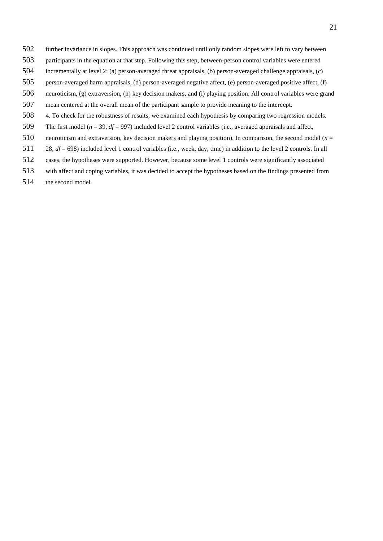- further invariance in slopes. This approach was continued until only random slopes were left to vary between
- participants in the equation at that step. Following this step, between-person control variables were entered
- incrementally at level 2: (a) person-averaged threat appraisals, (b) person-averaged challenge appraisals, (c)
- person-averaged harm appraisals, (d) person-averaged negative affect, (e) person-averaged positive affect, (f)
- neuroticism, (g) extraversion, (h) key decision makers, and (i) playing position. All control variables were grand
- mean centered at the overall mean of the participant sample to provide meaning to the intercept.
- 4. To check for the robustness of results, we examined each hypothesis by comparing two regression models.
- The first model (*n* = 39, *df* = 997) included level 2 control variables (i.e., averaged appraisals and affect,
- neuroticism and extraversion, key decision makers and playing position). In comparison, the second model (*n* =
- 28, *df* = 698) included level 1 control variables (i.e., week, day, time) in addition to the level 2 controls. In all
- cases, the hypotheses were supported. However, because some level 1 controls were significantly associated
- with affect and coping variables, it was decided to accept the hypotheses based on the findings presented from
- the second model.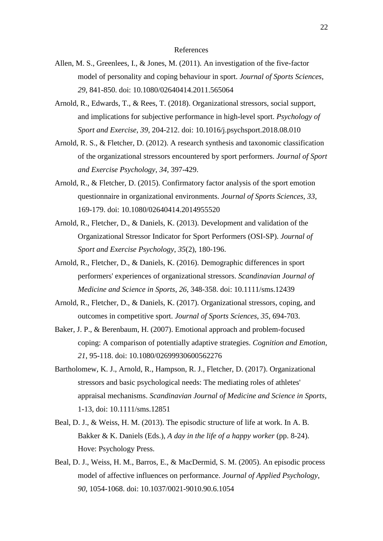#### References

- Allen, M. S., Greenlees, I., & Jones, M. (2011). An investigation of the five-factor model of personality and coping behaviour in sport. *Journal of Sports Sciences*, *29*, 841-850. doi: 10.1080/02640414.2011.565064
- Arnold, R., Edwards, T., & Rees, T. (2018). Organizational stressors, social support, and implications for subjective performance in high-level sport. *Psychology of Sport and Exercise*, *39*, 204-212. doi: 10.1016/j.psychsport.2018.08.010
- Arnold, R. S., & Fletcher, D. (2012). A research synthesis and taxonomic classification of the organizational stressors encountered by sport performers. *Journal of Sport and Exercise Psychology*, *34*, 397-429.
- Arnold, R., & Fletcher, D. (2015). Confirmatory factor analysis of the sport emotion questionnaire in organizational environments. *Journal of Sports Sciences*, *33*, 169-179. doi: 10.1080/02640414.2014955520
- Arnold, R., Fletcher, D., & Daniels, K. (2013). Development and validation of the Organizational Stressor Indicator for Sport Performers (OSI-SP). *Journal of Sport and Exercise Psychology*, *35*(2), 180-196.
- Arnold, R., Fletcher, D., & Daniels, K. (2016). Demographic differences in sport performers' experiences of organizational stressors. *Scandinavian Journal of Medicine and Science in Sports*, *26*, 348-358. doi: 10.1111/sms.12439
- Arnold, R., Fletcher, D., & Daniels, K. (2017). Organizational stressors, coping, and outcomes in competitive sport. *Journal of Sports Sciences*, *35*, 694-703.
- Baker, J. P., & Berenbaum, H. (2007). Emotional approach and problem-focused coping: A comparison of potentially adaptive strategies. *Cognition and Emotion*, *21*, 95-118. doi: 10.1080/02699930600562276
- Bartholomew, K. J., Arnold, R., Hampson, R. J., Fletcher, D. (2017). Organizational stressors and basic psychological needs: The mediating roles of athletes' appraisal mechanisms. *Scandinavian Journal of Medicine and Science in Sports*, 1-13, doi: 10.1111/sms.12851
- Beal, D. J., & Weiss, H. M. (2013). The episodic structure of life at work. In A. B. Bakker & K. Daniels (Eds.), *A day in the life of a happy worker* (pp. 8-24). Hove: Psychology Press.
- Beal, D. J., Weiss, H. M., Barros, E., & MacDermid, S. M. (2005). An episodic process model of affective influences on performance. *Journal of Applied Psychology*, *90*, 1054-1068. doi: 10.1037/0021-9010.90.6.1054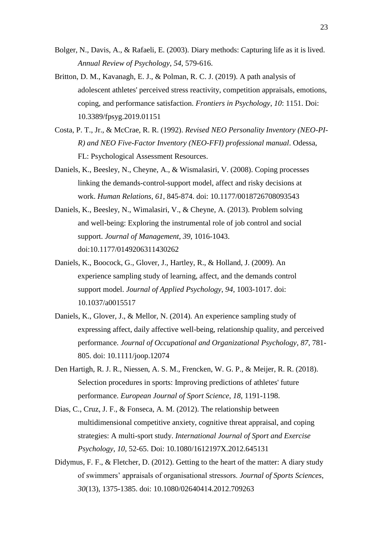- Bolger, N., Davis, A., & Rafaeli, E. (2003). Diary methods: Capturing life as it is lived. *Annual Review of Psychology*, *54*, 579-616.
- Britton, D. M., Kavanagh, E. J., & Polman, R. C. J. (2019). A path analysis of adolescent athletes' perceived stress reactivity, competition appraisals, emotions, coping, and performance satisfaction. *Frontiers in Psychology*, *10*: 1151. Doi: 10.3389/fpsyg.2019.01151
- Costa, P. T., Jr., & McCrae, R. R. (1992). *Revised NEO Personality Inventory (NEO-PI-R) and NEO Five-Factor Inventory (NEO-FFI) professional manual*. Odessa, FL: Psychological Assessment Resources.
- Daniels, K., Beesley, N., Cheyne, A., & Wismalasiri, V. (2008). Coping processes linking the demands-control-support model, affect and risky decisions at work. *Human Relations*, *61*, 845-874. doi: 10.1177/0018726708093543
- Daniels, K., Beesley, N., Wimalasiri, V., & Cheyne, A. (2013). Problem solving and well-being: Exploring the instrumental role of job control and social support. *Journal of Management*, *39*, 1016-1043. doi:10.1177/0149206311430262
- Daniels, K., Boocock, G., Glover, J., Hartley, R., & Holland, J. (2009). An experience sampling study of learning, affect, and the demands control support model. *Journal of Applied Psychology*, *94*, 1003-1017. doi: 10.1037/a0015517
- Daniels, K., Glover, J., & Mellor, N. (2014). An experience sampling study of expressing affect, daily affective well-being, relationship quality, and perceived performance. *Journal of Occupational and Organizational Psychology*, *87*, 781- 805. doi: 10.1111/joop.12074
- Den Hartigh, R. J. R., Niessen, A. S. M., Frencken, W. G. P., & Meijer, R. R. (2018). Selection procedures in sports: Improving predictions of athletes' future performance. *European Journal of Sport Science*, *18*, 1191-1198.
- Dias, C., Cruz, J. F., & Fonseca, A. M. (2012). The relationship between multidimensional competitive anxiety, cognitive threat appraisal, and coping strategies: A multi-sport study. *International Journal of Sport and Exercise Psychology*, *10*, 52-65. Doi: 10.1080/1612197X.2012.645131
- Didymus, F. F., & Fletcher, D. (2012). Getting to the heart of the matter: A diary study of swimmers' appraisals of organisational stressors. *Journal of Sports Sciences*, *30*(13), 1375-1385. doi: 10.1080/02640414.2012.709263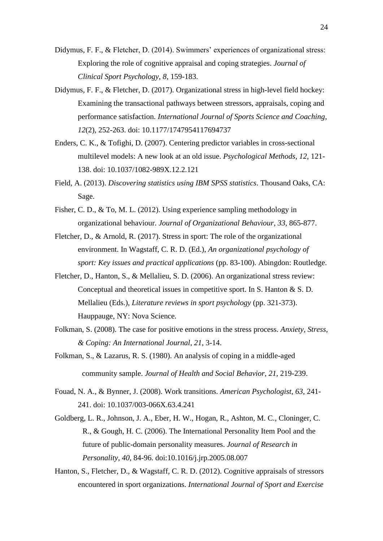- Didymus, F. F., & Fletcher, D. (2014). Swimmers' experiences of organizational stress: Exploring the role of cognitive appraisal and coping strategies. *Journal of Clinical Sport Psychology*, *8*, 159-183.
- Didymus, F. F., & Fletcher, D. (2017). Organizational stress in high-level field hockey: Examining the transactional pathways between stressors, appraisals, coping and performance satisfaction. *International Journal of Sports Science and Coaching*, *12*(2), 252-263. doi: 10.1177/1747954117694737
- Enders, C. K., & Tofighi, D. (2007). Centering predictor variables in cross-sectional multilevel models: A new look at an old issue. *Psychological Methods*, *12*, 121- 138. doi: 10.1037/1082-989X.12.2.121
- Field, A. (2013). *Discovering statistics using IBM SPSS statistics*. Thousand Oaks, CA: Sage.
- Fisher, C. D., & To, M. L. (2012). Using experience sampling methodology in organizational behaviour. *Journal of Organizational Behaviour*, *33*, 865-877.
- Fletcher, D., & Arnold, R. (2017). Stress in sport: The role of the organizational environment. In Wagstaff, C. R. D. (Ed.), *An organizational psychology of sport: Key issues and practical applications* (pp. 83-100). Abingdon: Routledge.
- Fletcher, D., Hanton, S., & Mellalieu, S. D. (2006). An organizational stress review: Conceptual and theoretical issues in competitive sport. In S. Hanton & S. D. Mellalieu (Eds.), *Literature reviews in sport psychology* (pp. 321-373). Hauppauge, NY: Nova Science.
- Folkman, S. (2008). The case for positive emotions in the stress process. *Anxiety, Stress, & Coping: An International Journal*, *21*, 3-14.
- Folkman, S., & Lazarus, R. S. (1980). An analysis of coping in a middle-aged community sample. *Journal of Health and Social Behavior*, *21*, 219-239.
- Fouad, N. A., & Bynner, J. (2008). Work transitions. *American Psychologist*, *63*, 241- 241. doi: 10.1037/003-066X.63.4.241
- Goldberg, L. R., Johnson, J. A., Eber, H. W., Hogan, R., Ashton, M. C., Cloninger, C. R., & Gough, H. C. (2006). The International Personality Item Pool and the future of public-domain personality measures. *Journal of Research in Personality*, *40*, 84-96. doi:10.1016/j.jrp.2005.08.007
- Hanton, S., Fletcher, D., & Wagstaff, C. R. D. (2012). Cognitive appraisals of stressors encountered in sport organizations. *International Journal of Sport and Exercise*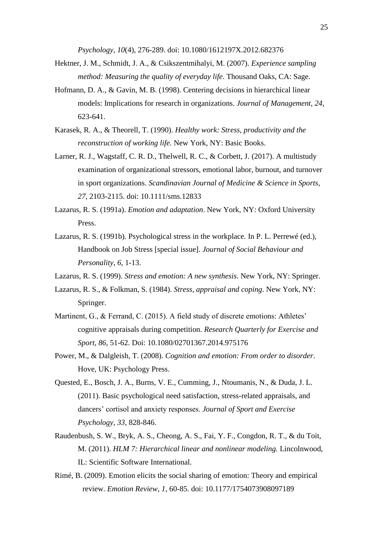*Psychology*, *10*(4), 276-289. doi: 10.1080/1612197X.2012.682376

- Hektner, J. M., Schmidt, J. A., & Csikszentmihalyi, M. (2007). *Experience sampling method: Measuring the quality of everyday life*. Thousand Oaks, CA: Sage.
- Hofmann, D. A., & Gavin, M. B. (1998). Centering decisions in hierarchical linear models: Implications for research in organizations. *Journal of Management*, *24*, 623-641.
- Karasek, R. A., & Theorell, T. (1990). *Healthy work: Stress, productivity and the reconstruction of working life.* New York, NY: Basic Books.
- Larner, R. J., Wagstaff, C. R. D., Thelwell, R. C., & Corbett, J. (2017). A multistudy examination of organizational stressors, emotional labor, burnout, and turnover in sport organizations. *Scandinavian Journal of Medicine & Science in Sports*, *27*, 2103-2115. doi: 10.1111/sms.12833
- Lazarus, R. S. (1991a). *Emotion and adaptation*. New York, NY: Oxford University Press.
- Lazarus, R. S. (1991b). Psychological stress in the workplace. In P. L. Perrewé (ed.), Handbook on Job Stress [special issue]. *Journal of Social Behaviour and Personality*, *6*, 1-13.
- Lazarus, R. S. (1999). *Stress and emotion: A new synthesis*. New York, NY: Springer.
- Lazarus, R. S., & Folkman, S. (1984). *Stress, appraisal and coping*. New York, NY: Springer.
- Martinent, G., & Ferrand, C. (2015). A field study of discrete emotions: Athletes' cognitive appraisals during competition. *Research Quarterly for Exercise and Sport*, *86*, 51-62. Doi: 10.1080/02701367.2014.975176
- Power, M., & Dalgleish, T. (2008). *Cognition and emotion: From order to disorder*. Hove, UK: Psychology Press.
- Quested, E., Bosch, J. A., Burns, V. E., Cumming, J., Ntoumanis, N., & Duda, J. L. (2011). Basic psychological need satisfaction, stress-related appraisals, and dancers' cortisol and anxiety responses. *Journal of Sport and Exercise Psychology*, *33*, 828-846.
- Raudenbush, S. W., Bryk, A. S., Cheong, A. S., Fai, Y. F., Congdon, R. T., & du Toit, M. (2011). *HLM 7: Hierarchical linear and nonlinear modeling.* Lincolnwood, IL: Scientific Software International.
- Rimé, B. (2009). Emotion elicits the social sharing of emotion: Theory and empirical review. *Emotion Review*, *1*, 60-85. doi: 10.1177/1754073908097189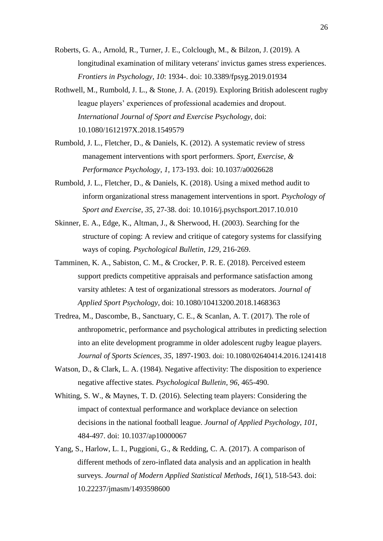- Roberts, G. A., Arnold, R., Turner, J. E., Colclough, M., & Bilzon, J. (2019). A longitudinal examination of military veterans' invictus games stress experiences. *Frontiers in Psychology*, *10*: 1934-. doi: 10.3389/fpsyg.2019.01934
- Rothwell, M., Rumbold, J. L., & Stone, J. A. (2019). Exploring British adolescent rugby league players' experiences of professional academies and dropout. *International Journal of Sport and Exercise Psychology*, doi: 10.1080/1612197X.2018.1549579
- Rumbold, J. L., Fletcher, D., & Daniels, K. (2012). A systematic review of stress management interventions with sport performers. *Sport, Exercise, & Performance Psychology*, *1*, 173-193. doi: 10.1037/a0026628
- Rumbold, J. L., Fletcher, D., & Daniels, K. (2018). Using a mixed method audit to inform organizational stress management interventions in sport. *Psychology of Sport and Exercise*, *35*, 27-38. doi: 10.1016/j.psychsport.2017.10.010
- Skinner, E. A., Edge, K., Altman, J., & Sherwood, H. (2003). Searching for the structure of coping: A review and critique of category systems for classifying ways of coping. *Psychological Bulletin*, *129*, 216-269.
- Tamminen, K. A., Sabiston, C. M., & Crocker, P. R. E. (2018). Perceived esteem support predicts competitive appraisals and performance satisfaction among varsity athletes: A test of organizational stressors as moderators. *Journal of Applied Sport Psychology*, doi: 10.1080/10413200.2018.1468363
- Tredrea, M., Dascombe, B., Sanctuary, C. E., & Scanlan, A. T. (2017). The role of anthropometric, performance and psychological attributes in predicting selection into an elite development programme in older adolescent rugby league players. *Journal of Sports Sciences*, *35*, 1897-1903. doi: 10.1080/02640414.2016.1241418
- Watson, D., & Clark, L. A. (1984). Negative affectivity: The disposition to experience negative affective states. *Psychological Bulletin*, *96*, 465-490.
- Whiting, S. W., & Maynes, T. D. (2016). Selecting team players: Considering the impact of contextual performance and workplace deviance on selection decisions in the national football league. *Journal of Applied Psychology*, *101*, 484-497. doi: 10.1037/ap10000067
- Yang, S., Harlow, L. I., Puggioni, G., & Redding, C. A. (2017). A comparison of different methods of zero-inflated data analysis and an application in health surveys. *Journal of Modern Applied Statistical Methods*, *16*(1), 518-543. doi: 10.22237/jmasm/1493598600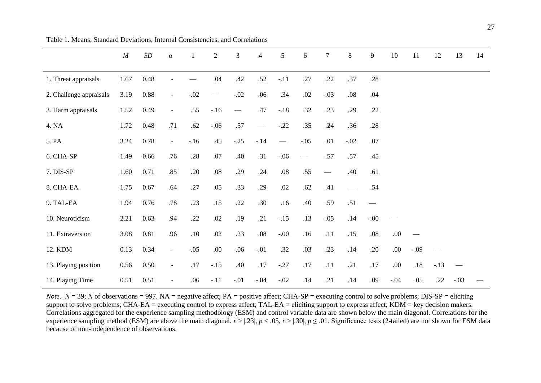|                         | M    | $\cal SD$ | $\alpha$                 | $\mathbf{1}$ | $\overline{2}$  | 3                        | $\overline{4}$           | 5                        | 6                        | $\tau$ | 8                             | 9      | 10     | 11      | 12     | 13     | 14 |
|-------------------------|------|-----------|--------------------------|--------------|-----------------|--------------------------|--------------------------|--------------------------|--------------------------|--------|-------------------------------|--------|--------|---------|--------|--------|----|
| 1. Threat appraisals    | 1.67 | 0.48      |                          |              | .04             | .42                      | .52                      | $-.11$                   | .27                      | .22    | .37                           | .28    |        |         |        |        |    |
| 2. Challenge appraisals | 3.19 | 0.88      | $\overline{\phantom{a}}$ | $-.02$       | $\qquad \qquad$ | $-.02$                   | .06                      | .34                      | .02                      | $-.03$ | $.08\,$                       | .04    |        |         |        |        |    |
| 3. Harm appraisals      | 1.52 | 0.49      | $\overline{\phantom{a}}$ | .55          | $-.16$          | $\overline{\phantom{m}}$ | .47                      | $-.18$                   | .32                      | .23    | .29                           | .22    |        |         |        |        |    |
| 4. NA                   | 1.72 | 0.48      | .71                      | .62          | $-.06$          | .57                      | $\overline{\phantom{0}}$ | $-.22$                   | .35                      | .24    | .36                           | .28    |        |         |        |        |    |
| 5. PA                   | 3.24 | 0.78      | $\overline{\phantom{a}}$ | $-16$        | .45             | $-.25$                   | $-.14$                   | $\overline{\phantom{m}}$ | $-.05$                   | .01    | $-.02$                        | .07    |        |         |        |        |    |
| 6. CHA-SP               | 1.49 | 0.66      | .76                      | .28          | .07             | .40                      | .31                      | $-.06$                   | $\overline{\phantom{m}}$ | .57    | .57                           | .45    |        |         |        |        |    |
| 7. DIS-SP               | 1.60 | 0.71      | .85                      | .20          | $.08\,$         | .29                      | .24                      | $.08\,$                  | .55                      |        | .40                           | .61    |        |         |        |        |    |
| 8. CHA-EA               | 1.75 | 0.67      | .64                      | .27          | .05             | .33                      | .29                      | .02                      | .62                      | .41    | $\overbrace{\phantom{aaaaa}}$ | .54    |        |         |        |        |    |
| 9. TAL-EA               | 1.94 | 0.76      | .78                      | .23          | .15             | .22                      | .30                      | .16                      | .40                      | .59    | .51                           |        |        |         |        |        |    |
| 10. Neuroticism         | 2.21 | 0.63      | .94                      | .22          | .02             | .19                      | .21                      | $-.15$                   | .13                      | $-.05$ | .14                           | $-00.$ |        |         |        |        |    |
| 11. Extraversion        | 3.08 | 0.81      | .96                      | .10          | .02             | .23                      | $.08\,$                  | $-00.$                   | .16                      | .11    | .15                           | .08    | .00.   |         |        |        |    |
| 12. KDM                 | 0.13 | 0.34      | $\overline{\phantom{a}}$ | $-.05$       | .00.            | $-.06$                   | $-.01$                   | .32                      | .03                      | .23    | .14                           | .20    | .00.   | $-.09$  |        |        |    |
| 13. Playing position    | 0.56 | 0.50      | $\overline{\phantom{a}}$ | .17          | $-.15$          | .40                      | $.17$                    | $-.27$                   | $.17$                    | .11    | .21                           | .17    | .00.   | $.18\,$ | $-.13$ |        |    |
| 14. Playing Time        | 0.51 | 0.51      | $\overline{\phantom{a}}$ | .06          | $-.11$          | $-.01$                   | $-.04$                   | $-.02$                   | .14                      | .21    | .14                           | .09    | $-.04$ | .05     | .22    | $-.03$ |    |

Table 1. Means, Standard Deviations, Internal Consistencies, and Correlations

*Note*.  $N = 39$ ; *N* of observations = 997. NA = negative affect; PA = positive affect; CHA-SP = executing control to solve problems; DIS-SP = eliciting support to solve problems; CHA-EA = executing control to express affect; TAL-EA = eliciting support to express affect; KDM = key decision makers. Correlations aggregated for the experience sampling methodology (ESM) and control variable data are shown below the main diagonal. Correlations for the experience sampling method (ESM) are above the main diagonal.  $r > 1.23$ ,  $p < 0.05$ ,  $r > 1.30$ ,  $p \le 0.01$ . Significance tests (2-tailed) are not shown for ESM data because of non-independence of observations.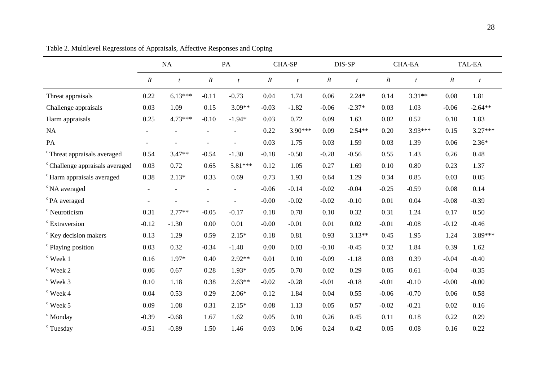|                                            | NA                       |                  | PA       |                          | CHA-SP           |                  | DIS-SP   |                | <b>CHA-EA</b>    |           | <b>TAL-EA</b>    |                  |
|--------------------------------------------|--------------------------|------------------|----------|--------------------------|------------------|------------------|----------|----------------|------------------|-----------|------------------|------------------|
|                                            | $\boldsymbol{B}$         | $\boldsymbol{t}$ | $\cal B$ | $\boldsymbol{t}$         | $\boldsymbol{B}$ | $\boldsymbol{t}$ | $\cal B$ | $\mathfrak{t}$ | $\boldsymbol{B}$ | $\bar{t}$ | $\boldsymbol{B}$ | $\boldsymbol{t}$ |
| Threat appraisals                          | 0.22                     | $6.13***$        | $-0.11$  | $-0.73$                  | 0.04             | 1.74             | 0.06     | $2.24*$        | 0.14             | $3.31**$  | 0.08             | 1.81             |
| Challenge appraisals                       | 0.03                     | 1.09             | 0.15     | $3.09**$                 | $-0.03$          | $-1.82$          | $-0.06$  | $-2.37*$       | 0.03             | 1.03      | $-0.06$          | $-2.64**$        |
| Harm appraisals                            | 0.25                     | 4.73***          | $-0.10$  | $-1.94*$                 | 0.03             | 0.72             | 0.09     | 1.63           | 0.02             | 0.52      | 0.10             | 1.83             |
| NA                                         | $\overline{\phantom{a}}$ |                  |          |                          | 0.22             | 3.90***          | 0.09     | $2.54**$       | 0.20             | 3.93***   | 0.15             | $3.27***$        |
| PA                                         |                          |                  |          |                          | 0.03             | 1.75             | 0.03     | 1.59           | 0.03             | 1.39      | 0.06             | $2.36*$          |
| <sup>c</sup> Threat appraisals averaged    | 0.54                     | $3.47**$         | $-0.54$  | $-1.30$                  | $-0.18$          | $-0.50$          | $-0.28$  | $-0.56$        | 0.55             | 1.43      | 0.26             | 0.48             |
| <sup>c</sup> Challenge appraisals averaged | 0.03                     | 0.72             | 0.65     | 5.81***                  | 0.12             | 1.05             | 0.27     | 1.69           | 0.10             | 0.80      | 0.23             | 1.37             |
| <sup>c</sup> Harm appraisals averaged      | 0.38                     | $2.13*$          | 0.33     | 0.69                     | 0.73             | 1.93             | 0.64     | 1.29           | 0.34             | 0.85      | 0.03             | 0.05             |
| <sup>c</sup> NA averaged                   |                          |                  |          | $\overline{\phantom{a}}$ | $-0.06$          | $-0.14$          | $-0.02$  | $-0.04$        | $-0.25$          | $-0.59$   | 0.08             | 0.14             |
| <sup>c</sup> PA averaged                   |                          |                  |          |                          | $-0.00$          | $-0.02$          | $-0.02$  | $-0.10$        | 0.01             | 0.04      | $-0.08$          | $-0.39$          |
| <sup>c</sup> Neuroticism                   | 0.31                     | $2.77**$         | $-0.05$  | $-0.17$                  | 0.18             | 0.78             | 0.10     | 0.32           | 0.31             | 1.24      | 0.17             | 0.50             |
| <sup>c</sup> Extraversion                  | $-0.12$                  | $-1.30$          | 0.00     | 0.01                     | $-0.00$          | $-0.01$          | 0.01     | 0.02           | $-0.01$          | $-0.08$   | $-0.12$          | $-0.46$          |
| <sup>c</sup> Key decision makers           | 0.13                     | 1.29             | 0.59     | $2.15*$                  | 0.18             | 0.81             | 0.93     | $3.13**$       | 0.45             | 1.95      | 1.24             | 3.89***          |
| <sup>c</sup> Playing position              | 0.03                     | 0.32             | $-0.34$  | $-1.48$                  | 0.00             | 0.03             | $-0.10$  | $-0.45$        | 0.32             | 1.84      | 0.39             | 1.62             |
| $\degree$ Week 1                           | 0.16                     | 1.97*            | 0.40     | $2.92**$                 | 0.01             | 0.10             | $-0.09$  | $-1.18$        | 0.03             | 0.39      | $-0.04$          | $-0.40$          |
| $\cdot$ Week 2                             | 0.06                     | 0.67             | 0.28     | $1.93*$                  | 0.05             | 0.70             | 0.02     | 0.29           | 0.05             | 0.61      | $-0.04$          | $-0.35$          |
| ° Week 3                                   | 0.10                     | 1.18             | 0.38     | $2.63**$                 | $-0.02$          | $-0.28$          | $-0.01$  | $-0.18$        | $-0.01$          | $-0.10$   | $-0.00$          | $-0.00$          |
| $\degree$ Week 4                           | 0.04                     | 0.53             | 0.29     | $2.06*$                  | 0.12             | 1.84             | 0.04     | 0.55           | $-0.06$          | $-0.70$   | 0.06             | 0.58             |
| $\degree$ Week 5                           | 0.09                     | 1.08             | 0.31     | $2.15*$                  | 0.08             | 1.13             | 0.05     | 0.57           | $-0.02$          | $-0.21$   | 0.02             | 0.16             |
| $\degree$ Monday                           | $-0.39$                  | $-0.68$          | 1.67     | 1.62                     | 0.05             | 0.10             | 0.26     | 0.45           | 0.11             | 0.18      | 0.22             | 0.29             |
| <sup>c</sup> Tuesday                       | $-0.51$                  | $-0.89$          | 1.50     | 1.46                     | 0.03             | 0.06             | 0.24     | 0.42           | 0.05             | 0.08      | 0.16             | 0.22             |

Table 2. Multilevel Regressions of Appraisals, Affective Responses and Coping